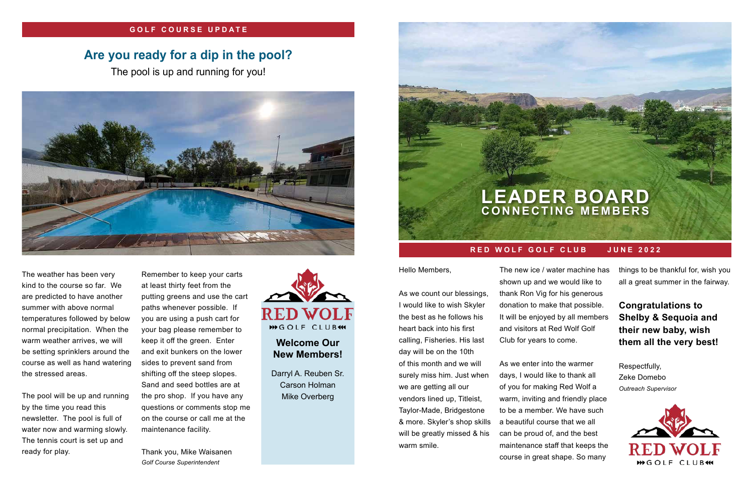### **GOLF COURSE UPDATE**

The weather has been very kind to the course so far. We are predicted to have another summer with above normal temperatures followed by below normal precipitation. When the warm weather arrives, we will be setting sprinklers around the course as well as hand watering the stressed areas.

The pool will be up and running by the time you read this newsletter. The pool is full of water now and warming slowly. The tennis court is set up and ready for play.

Remember to keep your carts at least thirty feet from the putting greens and use the cart paths whenever possible. If you are using a push cart for your bag please remember to keep it off the green. Enter and exit bunkers on the lower sides to prevent sand from shifting off the steep slopes. Sand and seed bottles are at the pro shop. If you have any questions or comments stop me on the course or call me at the maintenance facility.

Thank you, Mike Waisanen *Golf Course Superintendent*



### **RED WOLF GOLF CLUB JUNE 2022**

# **LEADER BOARD CONNECTING MEMBERS**

Hello Members,

As we count our blessings, I would like to wish Skyler the best as he follows his heart back into his first calling, Fisheries. His last day will be on the 10th of this month and we will surely miss him. Just when we are getting all our vendors lined up, Titleist, Taylor-Made, Bridgestone & more. Skyler's shop skills will be greatly missed & his warm smile.

### **Welcome Our New Members!**

Darryl A. Reuben Sr. Carson Holman Mike Overberg

## **Are you ready for a dip in the pool?**

The pool is up and running for you!



The new ice / water machine has shown up and we would like to thank Ron Vig for his generous donation to make that possible. It will be enjoyed by all members and visitors at Red Wolf Golf Club for years to come.

As we enter into the warmer days, I would like to thank all of you for making Red Wolf a warm, inviting and friendly place to be a member. We have such a beautiful course that we all can be proud of, and the best maintenance staff that keeps the course in great shape. So many

things to be thankful for, wish you all a great summer in the fairway.

**Congratulations to Shelby & Sequoia and their new baby, wish them all the very best!**

Respectfully, Zeke Domebo *Outreach Supervisor*